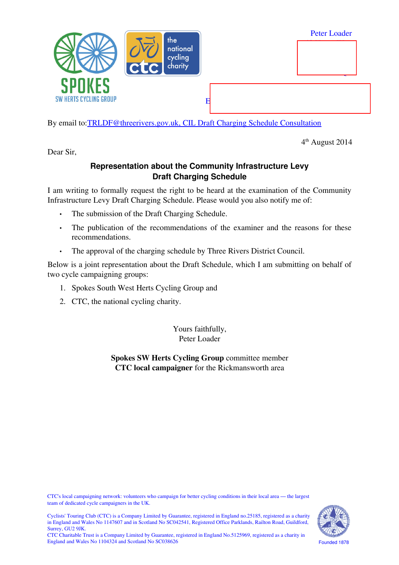

By email to[:TRLDF@threerivers.gov.uk, CIL Draft Charging Schedule Consultation](mailto:TRLDF@threerivers.gov.uk?subject=CIL%20Draft%20Charging%20Schedule%20Consultation)

4 th August 2014

Dear Sir,

## **Representation about the Community Infrastructure Levy Draft Charging Schedule**

I am writing to formally request the right to be heard at the examination of the Community Infrastructure Levy Draft Charging Schedule. Please would you also notify me of:

- The submission of the Draft Charging Schedule.
- The publication of the recommendations of the examiner and the reasons for these recommendations.
- The approval of the charging schedule by Three Rivers District Council.

Below is a joint representation about the Draft Schedule, which I am submitting on behalf of two cycle campaigning groups:

- 1. Spokes South West Herts Cycling Group and
- 2. CTC, the national cycling charity.

Yours faithfully, Peter Loader

**Spokes SW Herts Cycling Group** committee member **CTC local campaigner** for the Rickmansworth area

CTC's local campaigning network: volunteers who campaign for better cycling conditions in their local area — the largest team of dedicated cycle campaigners in the UK.





CTC Charitable Trust is a Company Limited by Guarantee, registered in England No.5125969, registered as a charity in England and Wales No 1104324 and Scotland No SC038626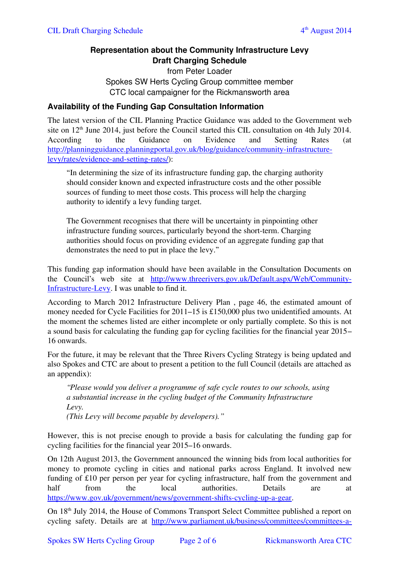# **Representation about the Community Infrastructure Levy Draft Charging Schedule**

from Peter Loader Spokes SW Herts Cycling Group committee member CTC local campaigner for the Rickmansworth area

### **Availability of the Funding Gap Consultation Information**

The latest version of the CIL Planning Practice Guidance was added to the Government web site on  $12<sup>th</sup>$  June 2014, just before the Council started this CIL consultation on 4th July 2014. According to the Guidance on Evidence and Setting Rates (at [http://planningguidance.planningportal.gov.uk/blog/guidance/community-infrastructure](http://planningguidance.planningportal.gov.uk/blog/guidance/community-infrastructure-levy/rates/evidence-and-setting-rates/)[levy/rates/evidence-and-setting-rates/\)](http://planningguidance.planningportal.gov.uk/blog/guidance/community-infrastructure-levy/rates/evidence-and-setting-rates/):

"In determining the size of its infrastructure funding gap, the charging authority should consider known and expected infrastructure costs and the other possible sources of funding to meet those costs. This process will help the charging authority to identify a levy funding target.

The Government recognises that there will be uncertainty in pinpointing other infrastructure funding sources, particularly beyond the short-term. Charging authorities should focus on providing evidence of an aggregate funding gap that demonstrates the need to put in place the levy."

This funding gap information should have been available in the Consultation Documents on the Council's web site at http://www.threerivers.gov.uk/Default.aspx/Web/Community-[Infrastructure-Levy.](http://www.threerivers.gov.uk/Default.aspx/Web/Community-Infrastructure-Levy) I was unable to find it.

According to March 2012 Infrastructure Delivery Plan , page 46, the estimated amount of money needed for Cycle Facilities for 2011–15 is £150,000 plus two unidentified amounts. At the moment the schemes listed are either incomplete or only partially complete. So this is not a sound basis for calculating the funding gap for cycling facilities for the financial year 2015– 16 onwards.

For the future, it may be relevant that the Three Rivers Cycling Strategy is being updated and also Spokes and CTC are about to present a petition to the full Council (details are attached as an appendix):

*"Please would you deliver a programme of safe cycle routes to our schools, using a substantial increase in the cycling budget of the Community Infrastructure Levy. (This Levy will become payable by developers)."*

However, this is not precise enough to provide a basis for calculating the funding gap for cycling facilities for the financial year 2015–16 onwards.

On 12th August 2013, the Government announced the winning bids from local authorities for money to promote cycling in cities and national parks across England. It involved new funding of £10 per person per year for cycling infrastructure, half from the government and half from the local authorities. Details are at [https://www.gov.uk/government/news/government-shifts-cycling-up-a-gear.](https://www.gov.uk/government/news/government-shifts-cycling-up-a-gear)

On 18th July 2014, the House of Commons Transport Select Committee published a report on cycling safety. Details are at [http://www.parliament.uk/business/committees/committees-a-](http://www.parliament.uk/business/committees/committees-a-z/commons-select/transport-committee/news/report-isolated-communities/)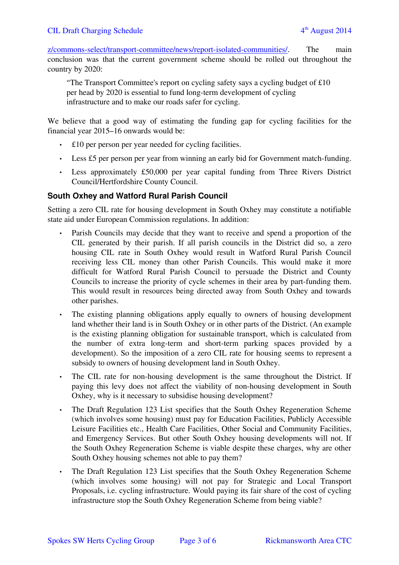[z/commons-select/transport-committee/news/report-isolated-communities/.](http://www.parliament.uk/business/committees/committees-a-z/commons-select/transport-committee/news/report-isolated-communities/) The main conclusion was that the current government scheme should be rolled out throughout the country by 2020:

"The Transport Committee's report on cycling safety says a cycling budget of £10 per head by 2020 is essential to fund long-term development of cycling infrastructure and to make our roads safer for cycling.

We believe that a good way of estimating the funding gap for cycling facilities for the financial year 2015–16 onwards would be:

- £10 per person per year needed for cycling facilities.
- Less £5 per person per year from winning an early bid for Government match-funding.
- Less approximately £50,000 per year capital funding from Three Rivers District Council/Hertfordshire County Council.

#### **South Oxhey and Watford Rural Parish Council**

Setting a zero CIL rate for housing development in South Oxhey may constitute a notifiable state aid under European Commission regulations. In addition:

- Parish Councils may decide that they want to receive and spend a proportion of the CIL generated by their parish. If all parish councils in the District did so, a zero housing CIL rate in South Oxhey would result in Watford Rural Parish Council receiving less CIL money than other Parish Councils. This would make it more difficult for Watford Rural Parish Council to persuade the District and County Councils to increase the priority of cycle schemes in their area by part-funding them. This would result in resources being directed away from South Oxhey and towards other parishes.
- The existing planning obligations apply equally to owners of housing development land whether their land is in South Oxhey or in other parts of the District. (An example is the existing planning obligation for sustainable transport, which is calculated from the number of extra long-term and short-term parking spaces provided by a development). So the imposition of a zero CIL rate for housing seems to represent a subsidy to owners of housing development land in South Oxhey.
- The CIL rate for non-housing development is the same throughout the District. If paying this levy does not affect the viability of non-housing development in South Oxhey, why is it necessary to subsidise housing development?
- The Draft Regulation 123 List specifies that the South Oxhey Regeneration Scheme (which involves some housing) must pay for Education Facilities, Publicly Accessible Leisure Facilities etc., Health Care Facilities, Other Social and Community Facilities, and Emergency Services. But other South Oxhey housing developments will not. If the South Oxhey Regeneration Scheme is viable despite these charges, why are other South Oxhey housing schemes not able to pay them?
- The Draft Regulation 123 List specifies that the South Oxhey Regeneration Scheme (which involves some housing) will not pay for Strategic and Local Transport Proposals, i.e. cycling infrastructure. Would paying its fair share of the cost of cycling infrastructure stop the South Oxhey Regeneration Scheme from being viable?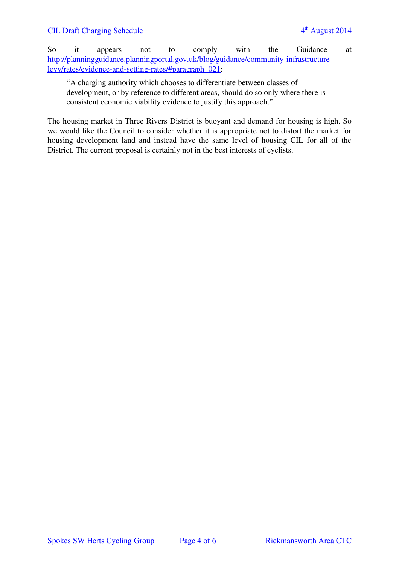So it appears not to comply with the Guidance at [http://planningguidance.planningportal.gov.uk/blog/guidance/community-infrastructure](http://planningguidance.planningportal.gov.uk/blog/guidance/community-infrastructure-levy/rates/evidence-and-setting-rates/#paragraph_021)[levy/rates/evidence-and-setting-rates/#paragraph\\_021:](http://planningguidance.planningportal.gov.uk/blog/guidance/community-infrastructure-levy/rates/evidence-and-setting-rates/#paragraph_021)

"A charging authority which chooses to differentiate between classes of development, or by reference to different areas, should do so only where there is consistent economic viability evidence to justify this approach."

The housing market in Three Rivers District is buoyant and demand for housing is high. So we would like the Council to consider whether it is appropriate not to distort the market for housing development land and instead have the same level of housing CIL for all of the District. The current proposal is certainly not in the best interests of cyclists.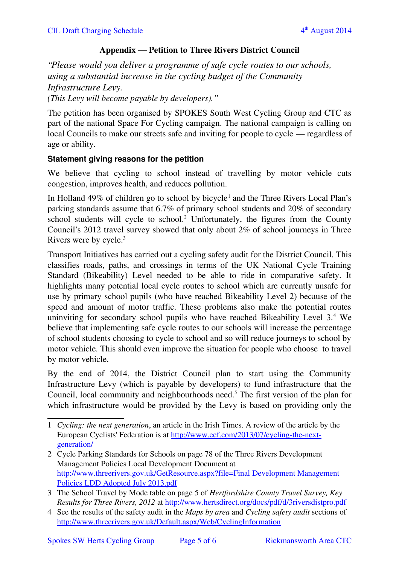# **Appendix ― Petition to Three Rivers District Council**

*"Please would you deliver a programme of safe cycle routes to our schools, using a substantial increase in the cycling budget of the Community Infrastructure Levy. (This Levy will become payable by developers)."*

The petition has been organised by SPOKES South West Cycling Group and CTC as part of the national Space For Cycling campaign. The national campaign is calling on local Councils to make our streets safe and inviting for people to cycle — regardless of age or ability.

### **Statement giving reasons for the petition**

We believe that cycling to school instead of travelling by motor vehicle cuts congestion, improves health, and reduces pollution.

In Holland 49% of children go to school by bicycle<sup>[1](#page-4-0)</sup> and the Three Rivers Local Plan's parking standards assume that 6.7% of primary school students and 20% of secondary school students will cycle to school.<sup>[2](#page-4-1)</sup> Unfortunately, the figures from the County Council's 2012 travel survey showed that only about 2% of school journeys in Three Rivers were by cycle.[3](#page-4-2)

Transport Initiatives has carried out a cycling safety audit for the District Council. This classifies roads, paths, and crossings in terms of the UK National Cycle Training Standard (Bikeability) Level needed to be able to ride in comparative safety. It highlights many potential local cycle routes to school which are currently unsafe for use by primary school pupils (who have reached Bikeability Level 2) because of the speed and amount of motor traffic. These problems also make the potential routes uninviting for secondary school pupils who have reached Bikeability Level 3.<sup>[4](#page-4-3)</sup> We believe that implementing safe cycle routes to our schools will increase the percentage of school students choosing to cycle to school and so will reduce journeys to school by motor vehicle. This should even improve the situation for people who choose to travel by motor vehicle.

By the end of 2014, the District Council plan to start using the Community Infrastructure Levy (which is payable by developers) to fund infrastructure that the Council, local community and neighbourhoods need.<sup>5</sup> The first version of the plan for which infrastructure would be provided by the Levy is based on providing only the

<span id="page-4-0"></span><sup>1</sup> *Cycling: the next generation*, an article in the Irish Times. A review of the article by the European Cyclists' Federation is at [http://www.ecf.com/2013/07/cycling-the-next](http://www.ecf.com/2013/07/cycling-the-next-generation/)[generation/](http://www.ecf.com/2013/07/cycling-the-next-generation/)

<span id="page-4-1"></span><sup>2</sup> Cycle Parking Standards for Schools on page 78 of the Three Rivers Development Management Policies Local Development Document at [http://www.threerivers.gov.uk/GetResource.aspx?file=Final Development Management](http://www.threerivers.gov.uk/GetResource.aspx?file=Final%20Development%20Management%20Policies%20LDD%20Adopted%20July%202013.pdf)  [Policies LDD Adopted July 2013.pdf](http://www.threerivers.gov.uk/GetResource.aspx?file=Final%20Development%20Management%20Policies%20LDD%20Adopted%20July%202013.pdf)

<span id="page-4-2"></span><sup>3</sup> The School Travel by Mode table on page 5 of *Hertfordshire County Travel Survey, Key Results for Three Rivers, 2012* at<http://www.hertsdirect.org/docs/pdf/d/3riversdistpro.pdf>

<span id="page-4-3"></span><sup>4</sup> See the results of the safety audit in the *Maps by area* and *Cycling safety audit* sections of <http://www.threerivers.gov.uk/Default.aspx/Web/CyclingInformation>